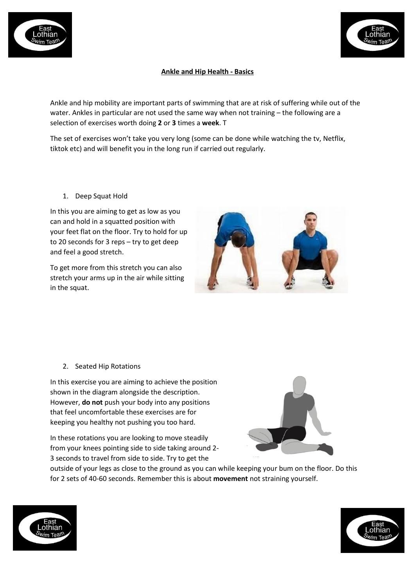



## **Ankle and Hip Health - Basics**

Ankle and hip mobility are important parts of swimming that are at risk of suffering while out of the water. Ankles in particular are not used the same way when not training – the following are a selection of exercises worth doing **2** or **3** times a **week**. T

The set of exercises won't take you very long (some can be done while watching the tv, Netflix, tiktok etc) and will benefit you in the long run if carried out regularly.

1. Deep Squat Hold

In this you are aiming to get as low as you can and hold in a squatted position with your feet flat on the floor. Try to hold for up to 20 seconds for 3 reps – try to get deep and feel a good stretch.

To get more from this stretch you can also stretch your arms up in the air while sitting in the squat.



2. Seated Hip Rotations

In this exercise you are aiming to achieve the position shown in the diagram alongside the description. However, **do not** push your body into any positions that feel uncomfortable these exercises are for keeping you healthy not pushing you too hard.

In these rotations you are looking to move steadily from your knees pointing side to side taking around 2- 3 seconds to travel from side to side. Try to get the



outside of your legs as close to the ground as you can while keeping your bum on the floor. Do this for 2 sets of 40-60 seconds. Remember this is about **movement** not straining yourself.